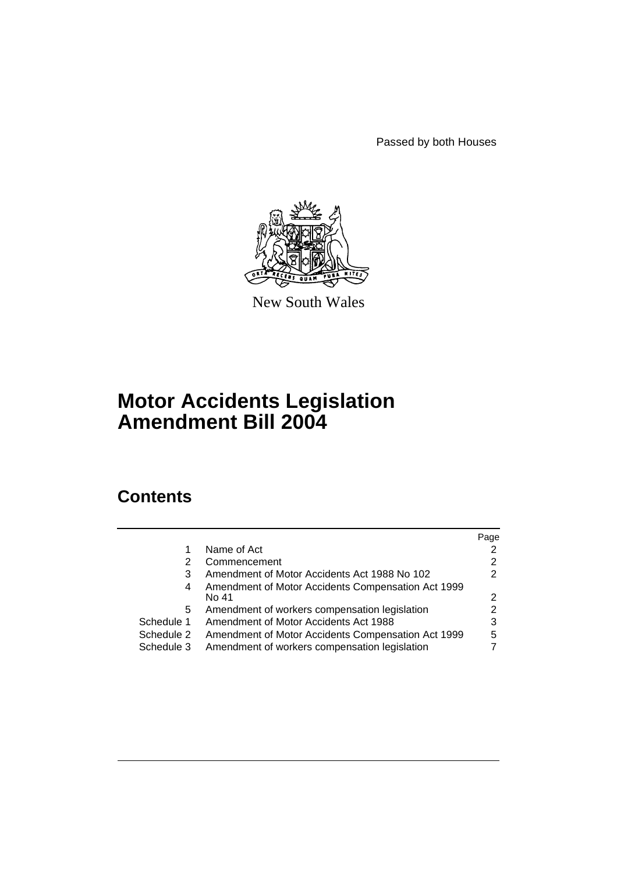Passed by both Houses



New South Wales

# **Motor Accidents Legislation Amendment Bill 2004**

# **Contents**

|            |                                                             | Page |
|------------|-------------------------------------------------------------|------|
|            | Name of Act                                                 |      |
| 2          | Commencement                                                | 2    |
| 3          | Amendment of Motor Accidents Act 1988 No 102                | 2    |
| 4          | Amendment of Motor Accidents Compensation Act 1999<br>No 41 | 2    |
| 5          | Amendment of workers compensation legislation               |      |
| Schedule 1 | Amendment of Motor Accidents Act 1988                       | 3    |
| Schedule 2 | Amendment of Motor Accidents Compensation Act 1999          | 5    |
| Schedule 3 | Amendment of workers compensation legislation               |      |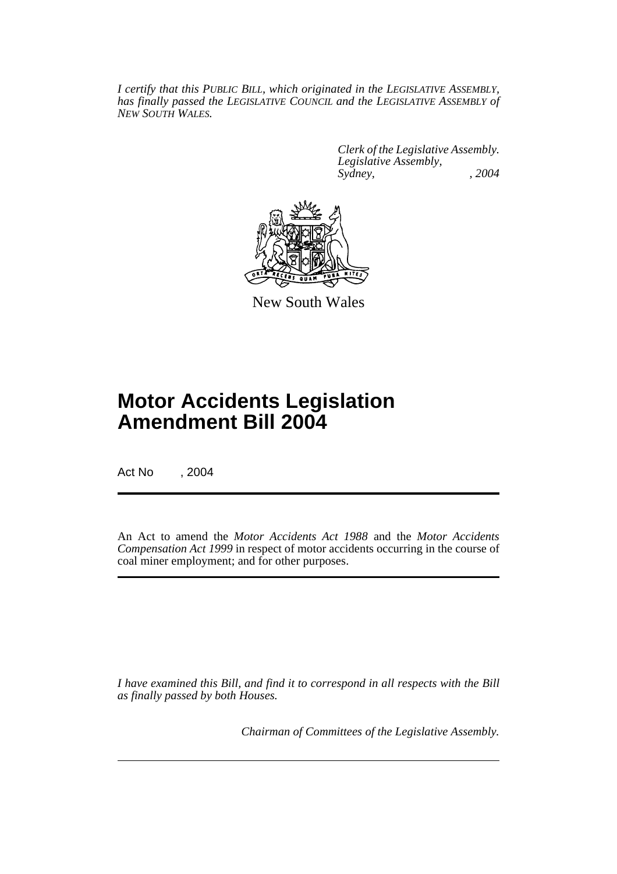*I certify that this PUBLIC BILL, which originated in the LEGISLATIVE ASSEMBLY, has finally passed the LEGISLATIVE COUNCIL and the LEGISLATIVE ASSEMBLY of NEW SOUTH WALES.*

> *Clerk of the Legislative Assembly. Legislative Assembly, Sydney, , 2004*



New South Wales

# **Motor Accidents Legislation Amendment Bill 2004**

Act No , 2004

An Act to amend the *Motor Accidents Act 1988* and the *Motor Accidents Compensation Act 1999* in respect of motor accidents occurring in the course of coal miner employment; and for other purposes.

*I have examined this Bill, and find it to correspond in all respects with the Bill as finally passed by both Houses.*

*Chairman of Committees of the Legislative Assembly.*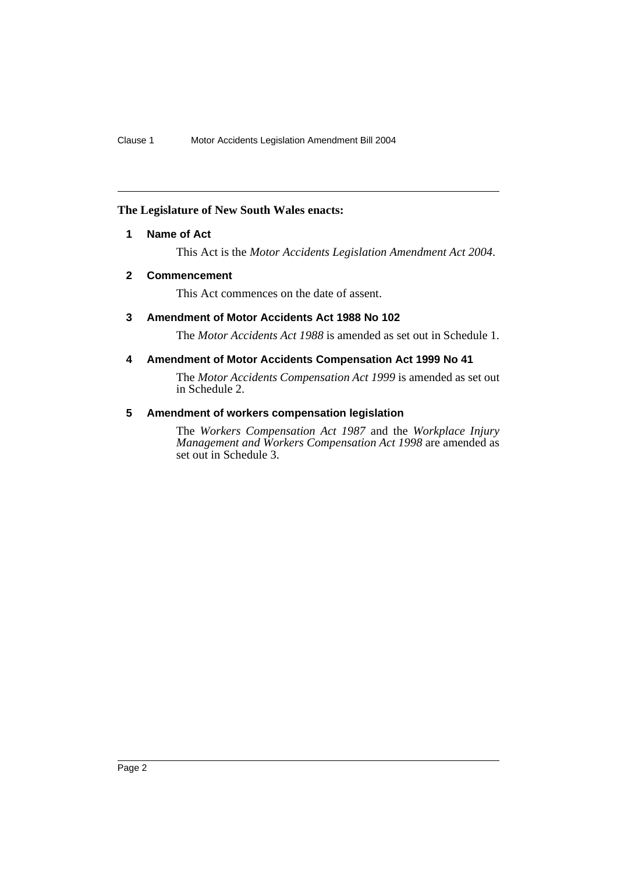### **The Legislature of New South Wales enacts:**

### **1 Name of Act**

This Act is the *Motor Accidents Legislation Amendment Act 2004*.

### **2 Commencement**

This Act commences on the date of assent.

### **3 Amendment of Motor Accidents Act 1988 No 102**

The *Motor Accidents Act 1988* is amended as set out in Schedule 1.

### **4 Amendment of Motor Accidents Compensation Act 1999 No 41**

The *Motor Accidents Compensation Act 1999* is amended as set out in Schedule 2.

## **5 Amendment of workers compensation legislation**

The *Workers Compensation Act 1987* and the *Workplace Injury Management and Workers Compensation Act 1998* are amended as set out in Schedule 3.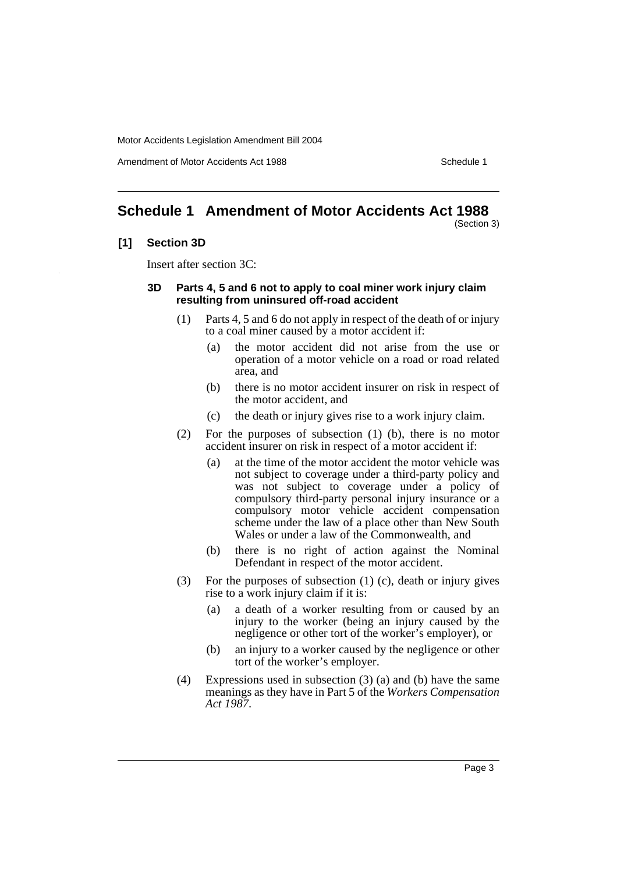Amendment of Motor Accidents Act 1988 New York 1988

# **Schedule 1 Amendment of Motor Accidents Act 1988**

(Section 3)

### **[1] Section 3D**

Insert after section 3C:

### **3D Parts 4, 5 and 6 not to apply to coal miner work injury claim resulting from uninsured off-road accident**

- (1) Parts 4, 5 and 6 do not apply in respect of the death of or injury to a coal miner caused by a motor accident if:
	- (a) the motor accident did not arise from the use or operation of a motor vehicle on a road or road related area, and
	- (b) there is no motor accident insurer on risk in respect of the motor accident, and
	- (c) the death or injury gives rise to a work injury claim.
- (2) For the purposes of subsection (1) (b), there is no motor accident insurer on risk in respect of a motor accident if:
	- (a) at the time of the motor accident the motor vehicle was not subject to coverage under a third-party policy and was not subject to coverage under a policy of compulsory third-party personal injury insurance or a compulsory motor vehicle accident compensation scheme under the law of a place other than New South Wales or under a law of the Commonwealth, and
	- (b) there is no right of action against the Nominal Defendant in respect of the motor accident.
- (3) For the purposes of subsection (1) (c), death or injury gives rise to a work injury claim if it is:
	- (a) a death of a worker resulting from or caused by an injury to the worker (being an injury caused by the negligence or other tort of the worker's employer), or
	- (b) an injury to a worker caused by the negligence or other tort of the worker's employer.
- (4) Expressions used in subsection (3) (a) and (b) have the same meanings as they have in Part 5 of the *Workers Compensation Act 1987*.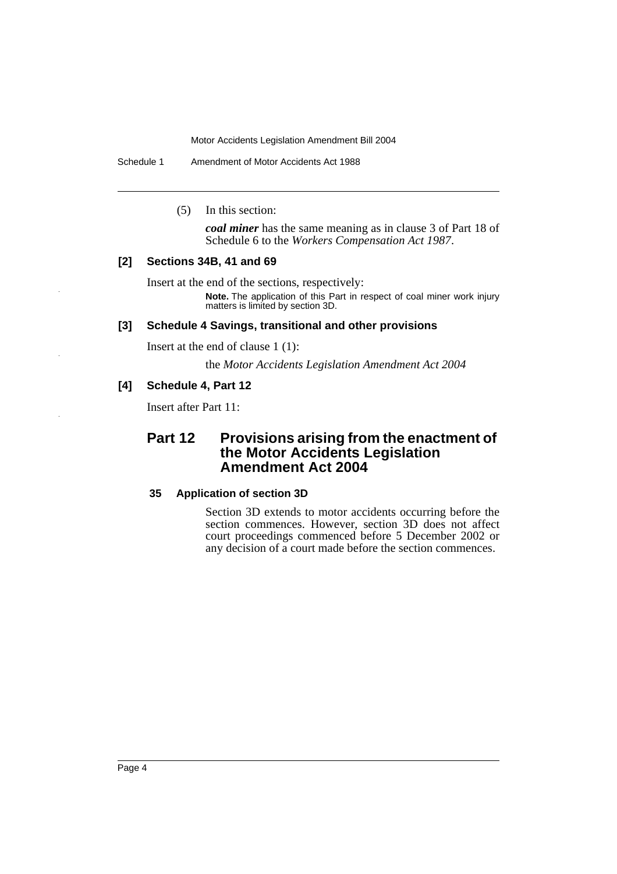Schedule 1 Amendment of Motor Accidents Act 1988

(5) In this section:

*coal miner* has the same meaning as in clause 3 of Part 18 of Schedule 6 to the *Workers Compensation Act 1987*.

### **[2] Sections 34B, 41 and 69**

Insert at the end of the sections, respectively:

**Note.** The application of this Part in respect of coal miner work injury matters is limited by section 3D.

### **[3] Schedule 4 Savings, transitional and other provisions**

Insert at the end of clause 1 (1):

the *Motor Accidents Legislation Amendment Act 2004*

### **[4] Schedule 4, Part 12**

Insert after Part 11:

## **Part 12 Provisions arising from the enactment of the Motor Accidents Legislation Amendment Act 2004**

#### **35 Application of section 3D**

Section 3D extends to motor accidents occurring before the section commences. However, section 3D does not affect court proceedings commenced before 5 December 2002 or any decision of a court made before the section commences.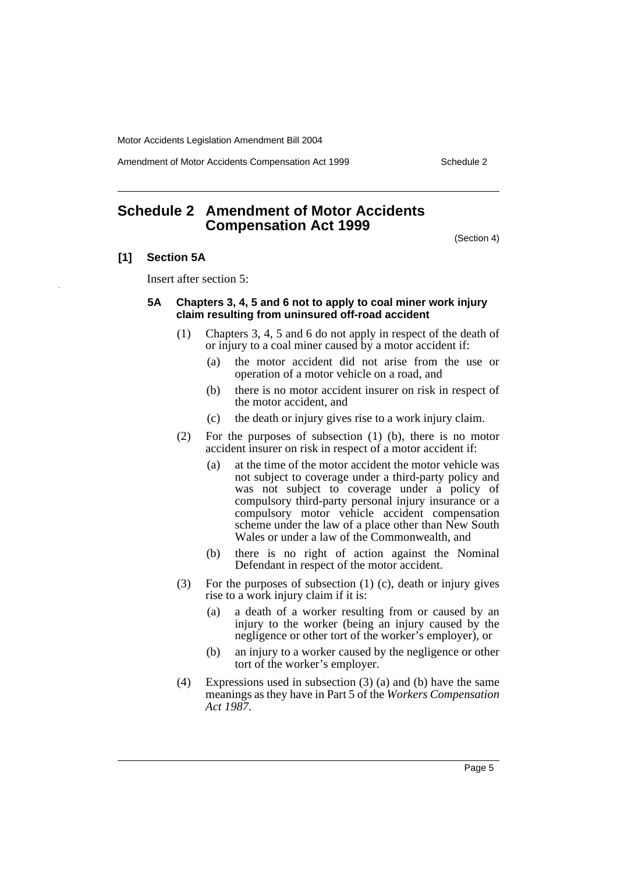Amendment of Motor Accidents Compensation Act 1999 Schedule 2

# **Schedule 2 Amendment of Motor Accidents Compensation Act 1999**

(Section 4)

### **[1] Section 5A**

Insert after section 5:

### **5A Chapters 3, 4, 5 and 6 not to apply to coal miner work injury claim resulting from uninsured off-road accident**

- (1) Chapters 3, 4, 5 and 6 do not apply in respect of the death of or injury to a coal miner caused by a motor accident if:
	- (a) the motor accident did not arise from the use or operation of a motor vehicle on a road, and
	- (b) there is no motor accident insurer on risk in respect of the motor accident, and
	- (c) the death or injury gives rise to a work injury claim.
- (2) For the purposes of subsection (1) (b), there is no motor accident insurer on risk in respect of a motor accident if:
	- (a) at the time of the motor accident the motor vehicle was not subject to coverage under a third-party policy and was not subject to coverage under a policy of compulsory third-party personal injury insurance or a compulsory motor vehicle accident compensation scheme under the law of a place other than New South Wales or under a law of the Commonwealth, and
	- (b) there is no right of action against the Nominal Defendant in respect of the motor accident.
- (3) For the purposes of subsection (1) (c), death or injury gives rise to a work injury claim if it is:
	- (a) a death of a worker resulting from or caused by an injury to the worker (being an injury caused by the negligence or other tort of the worker's employer), or
	- (b) an injury to a worker caused by the negligence or other tort of the worker's employer.
- (4) Expressions used in subsection (3) (a) and (b) have the same meanings as they have in Part 5 of the *Workers Compensation Act 1987*.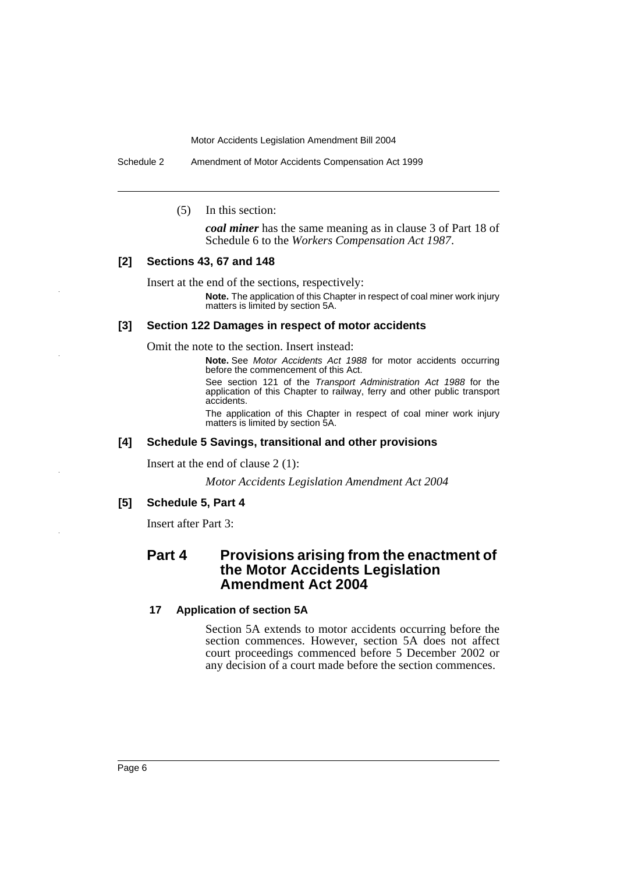Schedule 2 Amendment of Motor Accidents Compensation Act 1999

(5) In this section:

*coal miner* has the same meaning as in clause 3 of Part 18 of Schedule 6 to the *Workers Compensation Act 1987*.

### **[2] Sections 43, 67 and 148**

Insert at the end of the sections, respectively:

**Note.** The application of this Chapter in respect of coal miner work injury matters is limited by section 5A.

### **[3] Section 122 Damages in respect of motor accidents**

Omit the note to the section. Insert instead:

**Note.** See *Motor Accidents Act 1988* for motor accidents occurring before the commencement of this Act.

See section 121 of the *Transport Administration Act 1988* for the application of this Chapter to railway, ferry and other public transport accidents.

The application of this Chapter in respect of coal miner work injury matters is limited by section 5A.

### **[4] Schedule 5 Savings, transitional and other provisions**

Insert at the end of clause 2 (1):

*Motor Accidents Legislation Amendment Act 2004*

### **[5] Schedule 5, Part 4**

Insert after Part 3:

## **Part 4 Provisions arising from the enactment of the Motor Accidents Legislation Amendment Act 2004**

### **17 Application of section 5A**

Section 5A extends to motor accidents occurring before the section commences. However, section 5A does not affect court proceedings commenced before 5 December 2002 or any decision of a court made before the section commences.